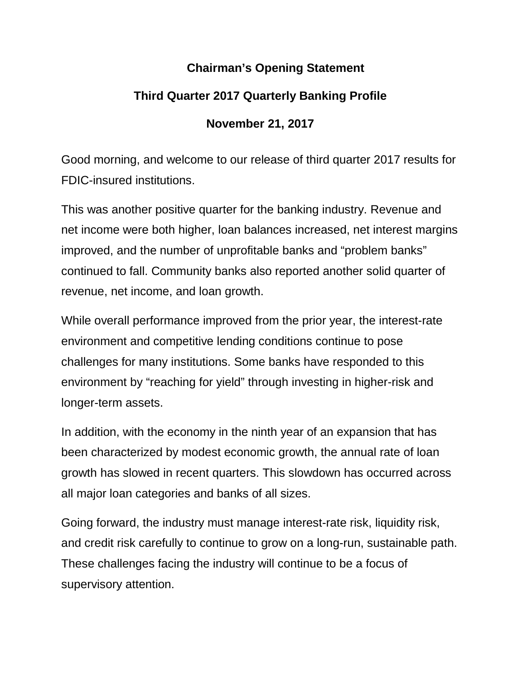## **Chairman's Opening Statement**

# **Third Quarter 2017 Quarterly Banking Profile**

# **November 21, 2017**

Good morning, and welcome to our release of third quarter 2017 results for FDIC-insured institutions.

This was another positive quarter for the banking industry. Revenue and net income were both higher, loan balances increased, net interest margins improved, and the number of unprofitable banks and "problem banks" continued to fall. Community banks also reported another solid quarter of revenue, net income, and loan growth.

While overall performance improved from the prior year, the interest-rate environment and competitive lending conditions continue to pose challenges for many institutions. Some banks have responded to this environment by "reaching for yield" through investing in higher-risk and longer-term assets.

In addition, with the economy in the ninth year of an expansion that has been characterized by modest economic growth, the annual rate of loan growth has slowed in recent quarters. This slowdown has occurred across all major loan categories and banks of all sizes.

Going forward, the industry must manage interest-rate risk, liquidity risk, and credit risk carefully to continue to grow on a long-run, sustainable path. These challenges facing the industry will continue to be a focus of supervisory attention.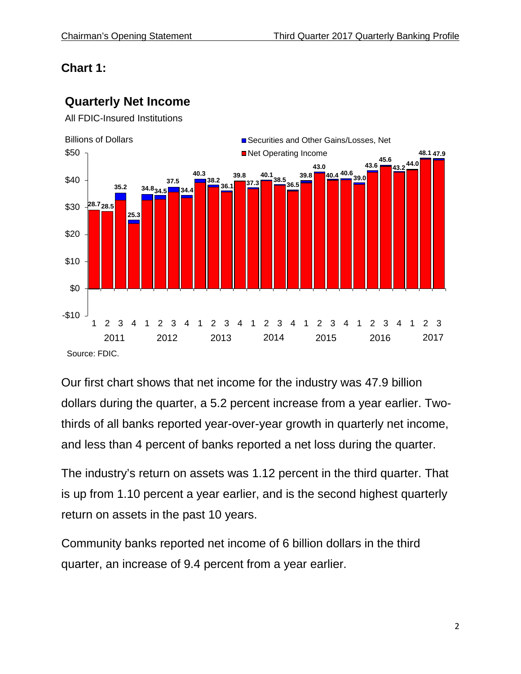# **Chart 1:**

# **Quarterly Net Income**





Our first chart shows that net income for the industry was 47.9 billion dollars during the quarter, a 5.2 percent increase from a year earlier. Twothirds of all banks reported year-over-year growth in quarterly net income, and less than 4 percent of banks reported a net loss during the quarter.

The industry's return on assets was 1.12 percent in the third quarter. That is up from 1.10 percent a year earlier, and is the second highest quarterly return on assets in the past 10 years.

Community banks reported net income of 6 billion dollars in the third quarter, an increase of 9.4 percent from a year earlier.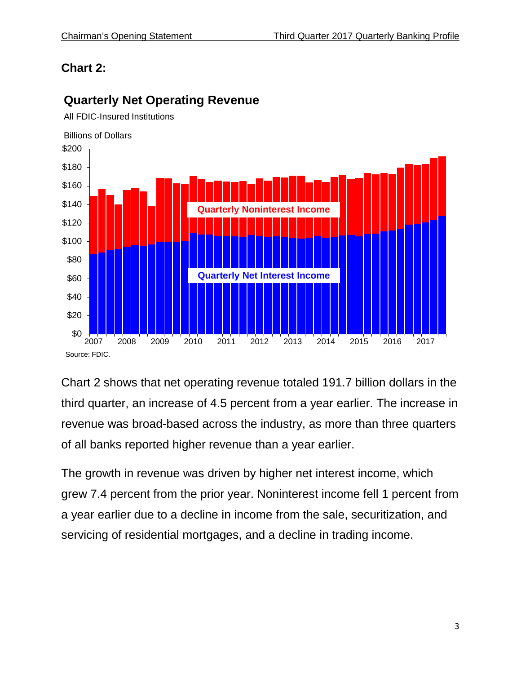# **Chart 2:**



#### **Quarterly Net Operating Revenue**

All FDIC-Insured Institutions

Chart 2 shows that net operating revenue totaled 191.7 billion dollars in the third quarter, an increase of 4.5 percent from a year earlier. The increase in revenue was broad-based across the industry, as more than three quarters of all banks reported higher revenue than a year earlier.

The growth in revenue was driven by higher net interest income, which grew 7.4 percent from the prior year. Noninterest income fell 1 percent from a year earlier due to a decline in income from the sale, securitization, and servicing of residential mortgages, and a decline in trading income.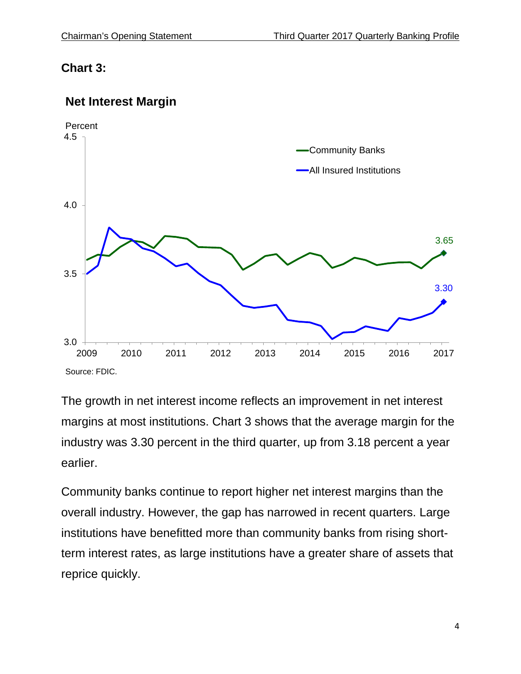## **Chart 3:**

#### **Net Interest Margin**



The growth in net interest income reflects an improvement in net interest margins at most institutions. Chart 3 shows that the average margin for the industry was 3.30 percent in the third quarter, up from 3.18 percent a year earlier.

Community banks continue to report higher net interest margins than the overall industry. However, the gap has narrowed in recent quarters. Large institutions have benefitted more than community banks from rising shortterm interest rates, as large institutions have a greater share of assets that reprice quickly.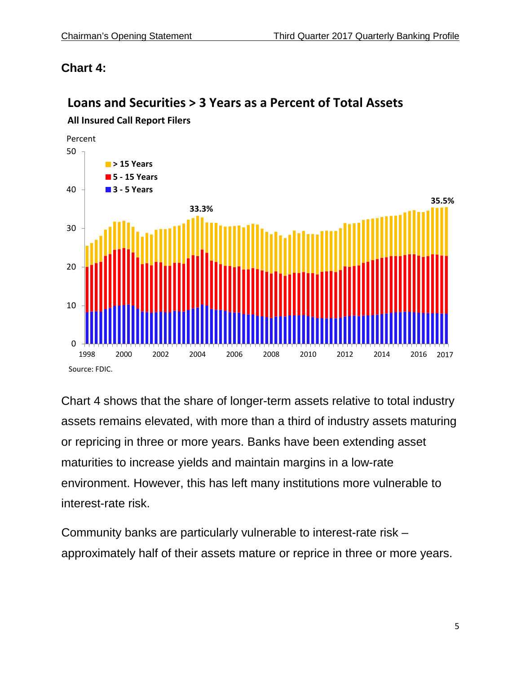# **Chart 4:**

# $\Omega$ 10 20 30 40 50 1998 2000 2002 2004 2006 2008 2010 2012 2014 2016 **> 15 Years 5 - 15 Years 3 - 5 Years 33.3% 35.5%** Source: FDIC. Percent 2017

**Loans and Securities > 3 Years as a Percent of Total Assets**

# **All Insured Call Report Filers**

Chart 4 shows that the share of longer-term assets relative to total industry assets remains elevated, with more than a third of industry assets maturing or repricing in three or more years. Banks have been extending asset maturities to increase yields and maintain margins in a low-rate environment. However, this has left many institutions more vulnerable to interest-rate risk.

Community banks are particularly vulnerable to interest-rate risk – approximately half of their assets mature or reprice in three or more years.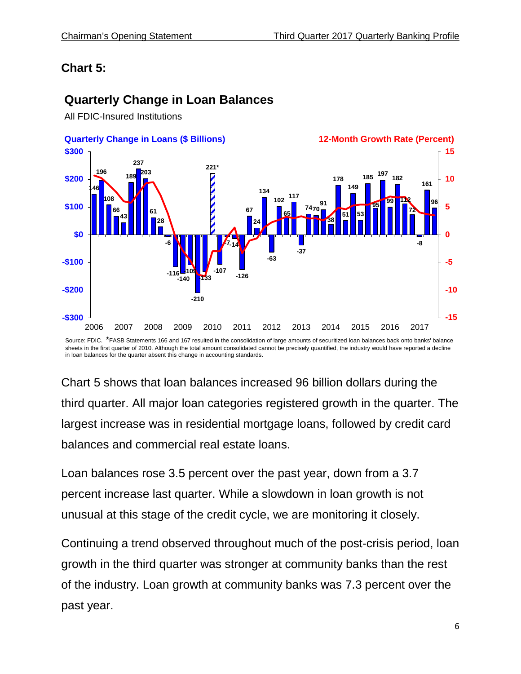# **Chart 5:**

# **Quarterly Change in Loan Balances**

All FDIC-Insured Institutions



Source: FDIC. \*FASB Statements 166 and 167 resulted in the consolidation of large amounts of securitized loan balances back onto banks' balance sheets in the first quarter of 2010. Although the total amount consolidated cannot be precisely quantified, the industry would have reported a decline in loan balances for the quarter absent this change in accounting standards.

Chart 5 shows that loan balances increased 96 billion dollars during the third quarter. All major loan categories registered growth in the quarter. The largest increase was in residential mortgage loans, followed by credit card balances and commercial real estate loans.

Loan balances rose 3.5 percent over the past year, down from a 3.7 percent increase last quarter. While a slowdown in loan growth is not unusual at this stage of the credit cycle, we are monitoring it closely.

Continuing a trend observed throughout much of the post-crisis period, loan growth in the third quarter was stronger at community banks than the rest of the industry. Loan growth at community banks was 7.3 percent over the past year.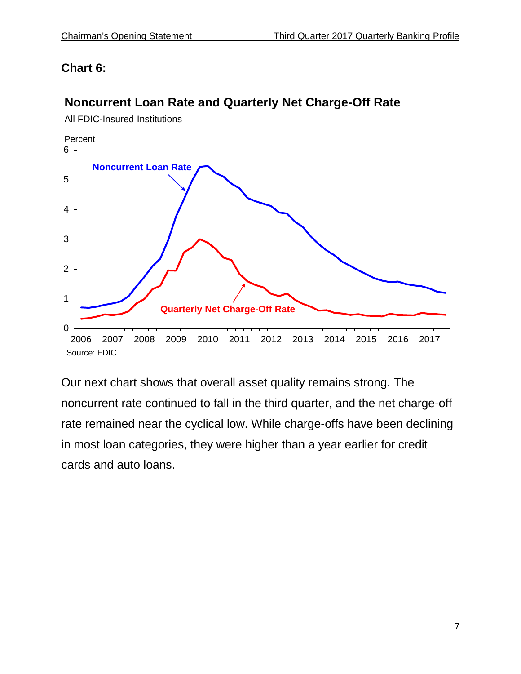# **Chart 6:**

# **Noncurrent Loan Rate and Quarterly Net Charge-Off Rate**

All FDIC-Insured Institutions



Our next chart shows that overall asset quality remains strong. The noncurrent rate continued to fall in the third quarter, and the net charge-off rate remained near the cyclical low. While charge-offs have been declining in most loan categories, they were higher than a year earlier for credit cards and auto loans.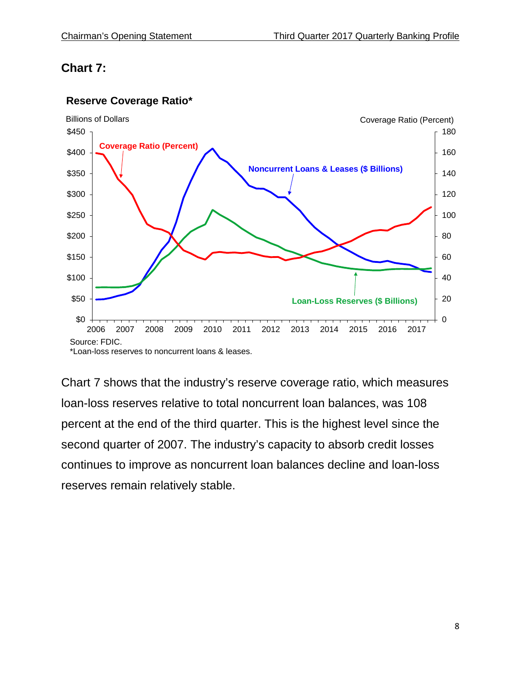# **Chart 7:**



#### **Reserve Coverage Ratio\***

Chart 7 shows that the industry's reserve coverage ratio, which measures loan-loss reserves relative to total noncurrent loan balances, was 108 percent at the end of the third quarter. This is the highest level since the second quarter of 2007. The industry's capacity to absorb credit losses continues to improve as noncurrent loan balances decline and loan-loss reserves remain relatively stable.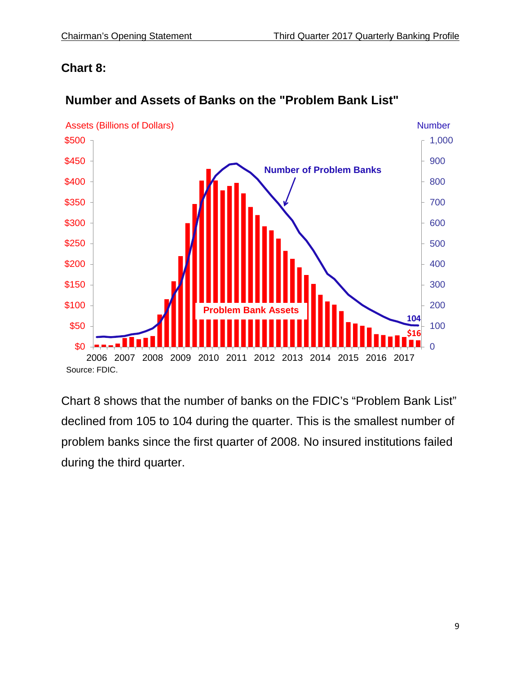## **Chart 8:**



#### **Number and Assets of Banks on the "Problem Bank List"**

Chart 8 shows that the number of banks on the FDIC's "Problem Bank List" declined from 105 to 104 during the quarter. This is the smallest number of problem banks since the first quarter of 2008. No insured institutions failed during the third quarter.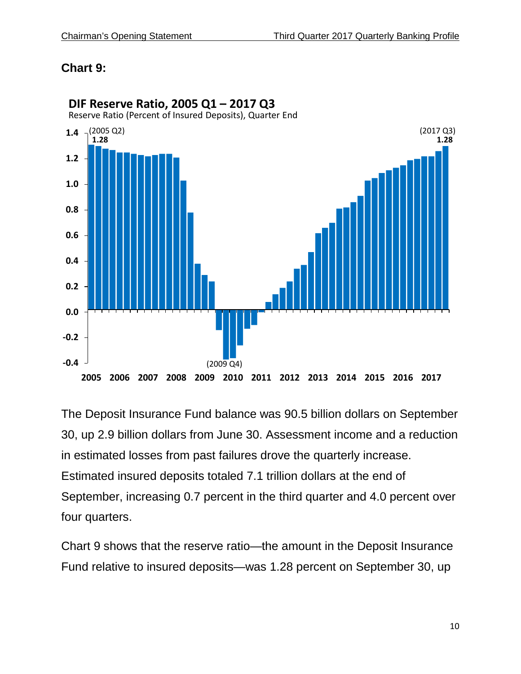#### **Chart 9:**



**DIF Reserve Ratio, 2005 Q1 – 2017 Q3**

The Deposit Insurance Fund balance was 90.5 billion dollars on September 30, up 2.9 billion dollars from June 30. Assessment income and a reduction in estimated losses from past failures drove the quarterly increase. Estimated insured deposits totaled 7.1 trillion dollars at the end of September, increasing 0.7 percent in the third quarter and 4.0 percent over four quarters.

Chart 9 shows that the reserve ratio—the amount in the Deposit Insurance Fund relative to insured deposits—was 1.28 percent on September 30, up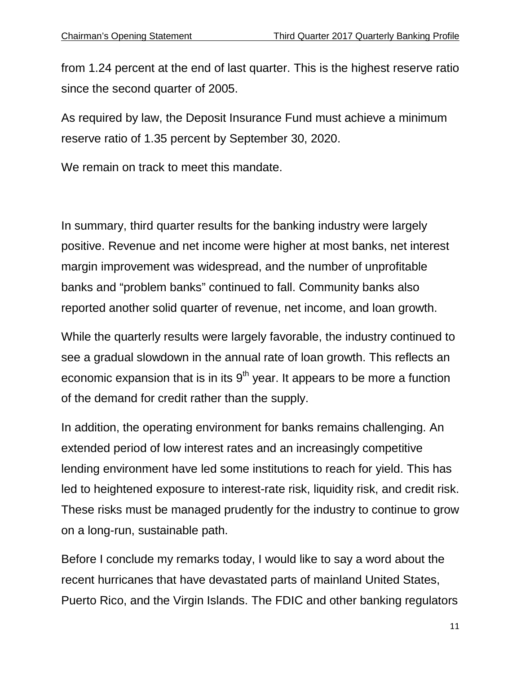from 1.24 percent at the end of last quarter. This is the highest reserve ratio since the second quarter of 2005.

As required by law, the Deposit Insurance Fund must achieve a minimum reserve ratio of 1.35 percent by September 30, 2020.

We remain on track to meet this mandate.

In summary, third quarter results for the banking industry were largely positive. Revenue and net income were higher at most banks, net interest margin improvement was widespread, and the number of unprofitable banks and "problem banks" continued to fall. Community banks also reported another solid quarter of revenue, net income, and loan growth.

While the quarterly results were largely favorable, the industry continued to see a gradual slowdown in the annual rate of loan growth. This reflects an economic expansion that is in its  $9<sup>th</sup>$  year. It appears to be more a function of the demand for credit rather than the supply.

In addition, the operating environment for banks remains challenging. An extended period of low interest rates and an increasingly competitive lending environment have led some institutions to reach for yield. This has led to heightened exposure to interest-rate risk, liquidity risk, and credit risk. These risks must be managed prudently for the industry to continue to grow on a long-run, sustainable path.

Before I conclude my remarks today, I would like to say a word about the recent hurricanes that have devastated parts of mainland United States, Puerto Rico, and the Virgin Islands. The FDIC and other banking regulators